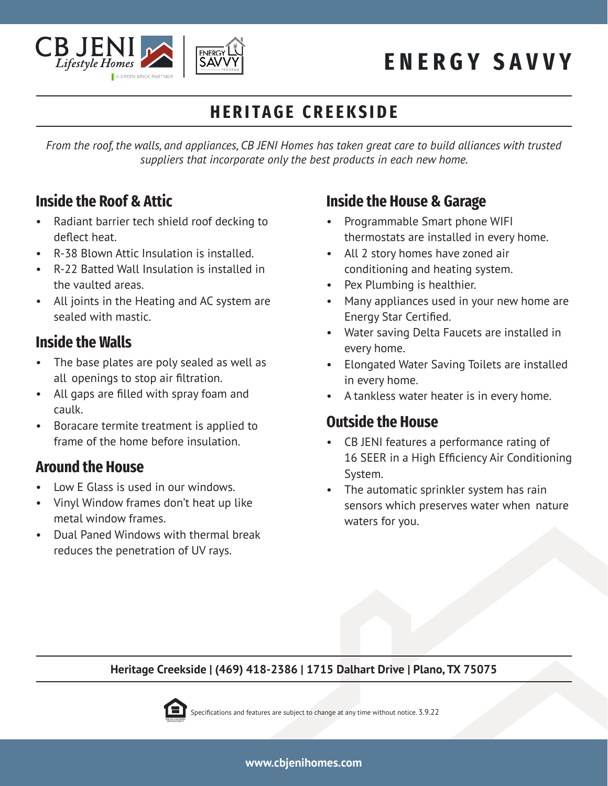

# **ENERGY SAVVY**

## **HERITAGE CREEKSIDE**

*From the roof, the walls, and appliances, CB JENI Homes has taken great care to build alliances with trusted suppliers that incorporate only the best products in each new home.*

#### **Inside the Roof & Attic**

- Radiant barrier tech shield roof decking to deflect heat.
- R-38 Blown Attic Insulation is installed.
- R-22 Batted Wall Insulation is installed in the vaulted areas.
- All joints in the Heating and AC system are sealed with mastic.

#### **Inside the Walls**

- The base plates are poly sealed as well as all openings to stop air filtration.
- All gaps are filled with spray foam and caulk.
- Boracare termite treatment is applied to frame of the home before insulation.

#### **Around the House**

- Low E Glass is used in our windows.
- Vinyl Window frames don't heat up like metal window frames.
- Dual Paned Windows with thermal break reduces the penetration of UV rays.

### **Inside the House & Garage**

- Programmable Smart phone WIFI thermostats are installed in every home.
- All 2 story homes have zoned air conditioning and heating system.
- Pex Plumbing is healthier.
- Many appliances used in your new home are Energy Star Certified.
- Water saving Delta Faucets are installed in every home.
- Elongated Water Saving Toilets are installed in every home.
- A tankless water heater is in every home.

#### **Outside the House**

- CB JENI features a performance rating of 16 SEER in a High Efficiency Air Conditioning System.
- The automatic sprinkler system has rain sensors which preserves water when nature waters for you.

#### **Heritage Creekside | (469) 418-2386 | 1715 Dalhart Drive | Plano, TX 75075**



Specifications and features are subject to change at any time without notice. 3.9.22